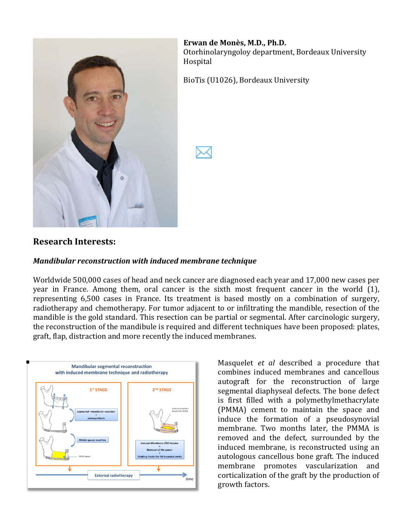

**Erwan de Monès, M.D., Ph.D.** Otorhinolaryngoloy department, Bordeaux University Hospital

BioTis (U1026), Bordeaux University

### **Research&Interests:**

#### *Mandibular reconstruction\*with\*induced\*membrane\*technique*

Worldwide,500,000 cases of head and neck cancer, are diagnosed each year and 17,000 new cases per year in France. Among them, oral cancer is the sixth most frequent cancer in the world (1), representing, 6,500 cases, in, France., Its, treatment, is, based, mostly, on, a, combination, of, surgery, radiotherapy and chemotherapy. For tumor adjacent to or infiltrating the mandible, resection of the mandible is the gold standard. This resection can be partial or segmental. After carcinologic surgery, the, reconstruction of the mandibule is required and different techniques have been proposed: plates, graft, flap, distraction and more recently the induced membranes.



Masquelet *et al* described a procedure that combines induced membranes and cancellous autograft for the reconstruction of large segmental diaphyseal defects. The bone defect is first filled with a polymethylmethacrylate (PMMA) cement to maintain the space and induce, the, formation, of a pseudosynovial membrane. Two months later, the PMMA is removed and the defect, surrounded by the induced membrane, is reconstructed using an autologous cancellous bone graft. The induced membrane promotes vascularization and corticalization of the graft by the production of growth factors.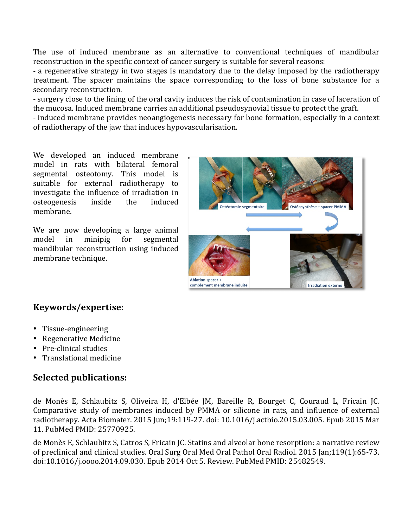The use of induced membrane as an alternative to conventional techniques of mandibular reconstruction in the specific context of cancer surgery is suitable for several reasons:

- a regenerative strategy in two stages is mandatory due to the delay imposed by the radiotherapy treatment. The spacer maintains the space corresponding to the loss of bone substance for a secondary reconstruction.

- surgery close to the lining of the oral cavity induces the risk of contamination in case of laceration of the,mucosa. Induced membrane carries an additional pseudosynovial tissue to protect the graft.

- induced membrane, provides, neoangiogenesis, necessary for bone formation, especially in a context of radiotherapy of the jaw that induces hypovascularisation.

We developed an induced membrane model in rats with bilateral femoral segmental osteotomy. This model is suitable for external radiotherapy to investigate the influence of irradiation in osteogenesis inside the induced membrane.

We are now developing a large animal model in minipig for segmental mandibular reconstruction using induced membrane technique.



## **Keywords/expertise:**

- Tissue-engineering
- Regenerative Medicine
- Pre-clinical studies
- Translational medicine

## **Selected publications:**

de Monès E, Schlaubitz S, Oliveira H, d'Elbée JM, Bareille R, Bourget C, Couraud L, Fricain JC. Comparative study of membranes induced by PMMA or silicone in rats, and influence of external radiotherapy. Acta Biomater. 2015 Jun;19:119-27. doi: 10.1016/j.actbio.2015.03.005. Epub 2015 Mar 11. PubMed PMID: 25770925.

de Monès E, Schlaubitz S, Catros S, Fricain JC. Statins and alveolar bone resorption: a narrative review of preclinical and clinical studies. Oral Surg Oral Med Oral Pathol Oral Radiol. 2015 Jan;119(1):65-73. doi:10.1016/j.0000.2014.09.030. Epub 2014 Oct 5. Review. PubMed PMID: 25482549.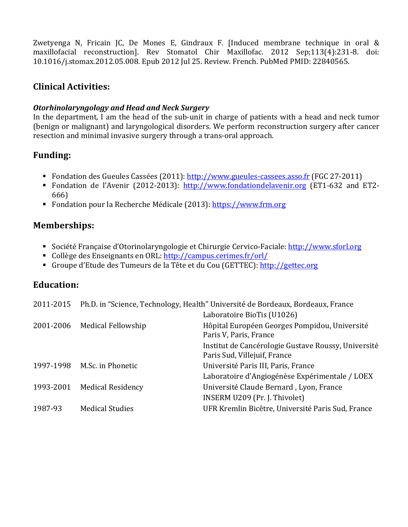Zwetyenga N, Fricain JC, De Mones E, Gindraux F. [Induced membrane technique in oral & maxillofacial reconstruction]. Rev Stomatol Chir Maxillofac. 2012 Sep;113(4):231-8. doi: 10.1016/j.stomax.2012.05.008. Epub 2012 Jul 25. Review. French. PubMed PMID: 22840565.

### **Clinical&Activities:**

#### *Otorhinolaryngology\*and\*Head\*and\*Neck\*Surgery*

In the department, I am the head of the sub-unit in charge of patients with a head and neck tumor (benign or malignant) and laryngological disorders. We perform reconstruction surgery after cancer resection and minimal invasive surgery through a trans-oral approach.

### **Funding:**

- Fondation des Gueules Cassées (2011): http://www.gueules-cassees.asso.fr (FGC 27-2011)
- Fondation de l'Avenir (2012-2013): http://www.fondationdelavenir.org (ET1-632 and ET2-666)
- Fondation pour la Recherche Médicale (2013): https://www.frm.org

### **Memberships:**

- " Société Française d'Otorinolaryngologie et Chirurgie Cervico-Faciale: http://www.sforl.org
- Collège des Enseignants en ORL: http://campus.cerimes.fr/orl/
- Groupe d'Etude des Tumeurs,de,la,Tête,et,du,Cou,(GETTEC): http://gettec.org

### **Education:**

|           |                          | 2011-2015 Ph.D. in "Science, Technology, Health" Université de Bordeaux, Bordeaux, France |
|-----------|--------------------------|-------------------------------------------------------------------------------------------|
|           |                          | Laboratoire BioTis (U1026)                                                                |
| 2001-2006 | Medical Fellowship       | Hôpital Européen Georges Pompidou, Université<br>Paris V, Paris, France                   |
|           |                          | Institut de Cancérologie Gustave Roussy, Université<br>Paris Sud, Villejuif, France       |
| 1997-1998 | M.Sc. in Phonetic        | Université Paris III, Paris, France                                                       |
|           |                          | Laboratoire d'Angiogénèse Expérimentale / LOEX                                            |
| 1993-2001 | <b>Medical Residency</b> | Université Claude Bernard, Lyon, France                                                   |
|           |                          | INSERM U209 (Pr. J. Thivolet)                                                             |
| 1987-93   | <b>Medical Studies</b>   | UFR Kremlin Bicêtre, Université Paris Sud, France                                         |
|           |                          |                                                                                           |